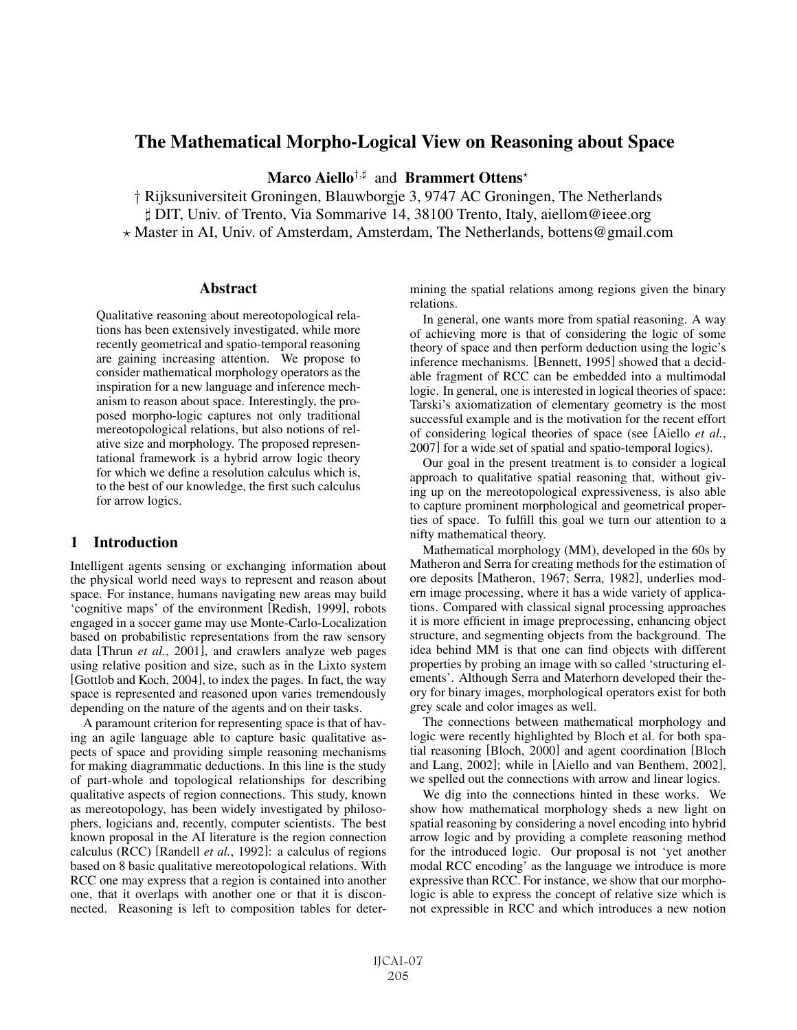# The Mathematical Morpho-Logical View on Reasoning about Space

Marco Aiello<sup>†,#</sup> and Brammert Ottens<sup>\*</sup>

† Rijksuniversiteit Groningen, Blauwborgje 3, 9747 AC Groningen, The Netherlands - DIT, Univ. of Trento, Via Sommarive 14, 38100 Trento, Italy, aiellom@ieee.org Master in AI, Univ. of Amsterdam, Amsterdam, The Netherlands, bottens@gmail.com

## Abstract

Qualitative reasoning about mereotopological relations has been extensively investigated, while more recently geometrical and spatio-temporal reasoning are gaining increasing attention. We propose to consider mathematical morphology operators as the inspiration for a new language and inference mechanism to reason about space. Interestingly, the proposed morpho-logic captures not only traditional mereotopological relations, but also notions of relative size and morphology. The proposed representational framework is a hybrid arrow logic theory for which we define a resolution calculus which is, to the best of our knowledge, the first such calculus for arrow logics.

## 1 Introduction

Intelligent agents sensing or exchanging information about the physical world need ways to represent and reason about space. For instance, humans navigating new areas may build 'cognitive maps' of the environment [Redish, 1999], robots engaged in a soccer game may use Monte-Carlo-Localization based on probabilistic representations from the raw sensory data [Thrun *et al.*, 2001], and crawlers analyze web pages using relative position and size, such as in the Lixto system [Gottlob and Koch, 2004], to index the pages. In fact, the way space is represented and reasoned upon varies tremendously depending on the nature of the agents and on their tasks.

A paramount criterion for representing space is that of having an agile language able to capture basic qualitative aspects of space and providing simple reasoning mechanisms for making diagrammatic deductions. In this line is the study of part-whole and topological relationships for describing qualitative aspects of region connections. This study, known as mereotopology, has been widely investigated by philosophers, logicians and, recently, computer scientists. The best known proposal in the AI literature is the region connection calculus (RCC) [Randell *et al.*, 1992]: a calculus of regions based on 8 basic qualitative mereotopological relations. With RCC one may express that a region is contained into another one, that it overlaps with another one or that it is disconnected. Reasoning is left to composition tables for determining the spatial relations among regions given the binary relations.

In general, one wants more from spatial reasoning. A way of achieving more is that of considering the logic of some theory of space and then perform deduction using the logic's inference mechanisms. [Bennett, 1995] showed that a decidable fragment of RCC can be embedded into a multimodal logic. In general, one is interested in logical theories of space: Tarski's axiomatization of elementary geometry is the most successful example and is the motivation for the recent effort of considering logical theories of space (see [Aiello *et al.*, 2007] for a wide set of spatial and spatio-temporal logics).

Our goal in the present treatment is to consider a logical approach to qualitative spatial reasoning that, without giving up on the mereotopological expressiveness, is also able to capture prominent morphological and geometrical properties of space. To fulfill this goal we turn our attention to a nifty mathematical theory.

Mathematical morphology (MM), developed in the 60s by Matheron and Serra for creating methods for the estimation of ore deposits [Matheron, 1967; Serra, 1982], underlies modern image processing, where it has a wide variety of applications. Compared with classical signal processing approaches it is more efficient in image preprocessing, enhancing object structure, and segmenting objects from the background. The idea behind MM is that one can find objects with different properties by probing an image with so called 'structuring elements'. Although Serra and Materhorn developed their theory for binary images, morphological operators exist for both grey scale and color images as well.

The connections between mathematical morphology and logic were recently highlighted by Bloch et al. for both spatial reasoning [Bloch, 2000] and agent coordination [Bloch and Lang, 2002]; while in [Aiello and van Benthem, 2002], we spelled out the connections with arrow and linear logics.

We dig into the connections hinted in these works. We show how mathematical morphology sheds a new light on spatial reasoning by considering a novel encoding into hybrid arrow logic and by providing a complete reasoning method for the introduced logic. Our proposal is not 'yet another modal RCC encoding' as the language we introduce is more expressive than RCC. For instance, we show that our morphologic is able to express the concept of relative size which is not expressible in RCC and which introduces a new notion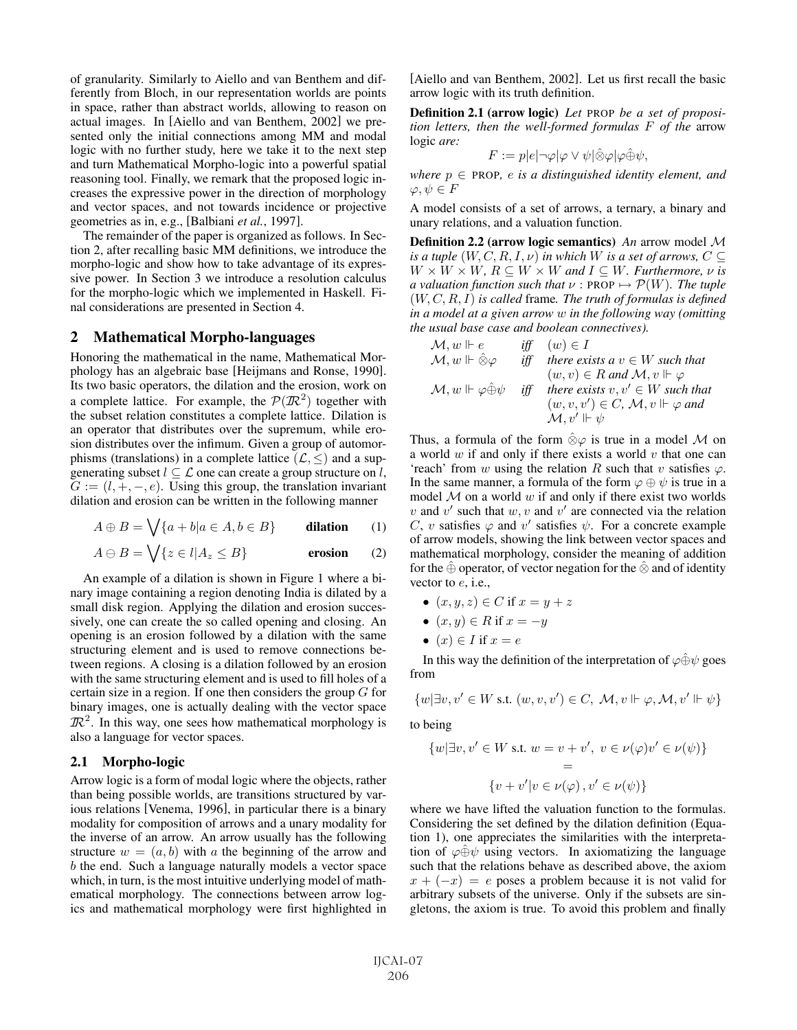of granularity. Similarly to Aiello and van Benthem and differently from Bloch, in our representation worlds are points in space, rather than abstract worlds, allowing to reason on actual images. In [Aiello and van Benthem, 2002] we presented only the initial connections among MM and modal logic with no further study, here we take it to the next step and turn Mathematical Morpho-logic into a powerful spatial reasoning tool. Finally, we remark that the proposed logic increases the expressive power in the direction of morphology and vector spaces, and not towards incidence or projective geometries as in, e.g., [Balbiani *et al.*, 1997].

The remainder of the paper is organized as follows. In Section 2, after recalling basic MM definitions, we introduce the morpho-logic and show how to take advantage of its expressive power. In Section 3 we introduce a resolution calculus for the morpho-logic which we implemented in Haskell. Final considerations are presented in Section 4.

## 2 Mathematical Morpho-languages

Honoring the mathematical in the name, Mathematical Morphology has an algebraic base [Heijmans and Ronse, 1990]. Its two basic operators, the dilation and the erosion, work on a complete lattice. For example, the  $\mathcal{P}(\mathbb{R}^2)$  together with the subset relation constitutes a complete lattice. Dilation is an operator that distributes over the supremum, while erosion distributes over the infimum. Given a group of automorphisms (translations) in a complete lattice  $(\mathcal{L}, \leq)$  and a supgenerating subset  $l \subseteq \mathcal{L}$  one can create a group structure on l,  $G := (l, +, -, e)$ . Using this group, the translation invariant dilation and erosion can be written in the following manner

$$
A \oplus B = \bigvee \{a + b | a \in A, b \in B\}
$$
 **dilation** (1)

$$
A \ominus B = \bigvee \{ z \in l | A_z \le B \}
$$
 **erosion** (2)

An example of a dilation is shown in Figure 1 where a binary image containing a region denoting India is dilated by a small disk region. Applying the dilation and erosion successively, one can create the so called opening and closing. An opening is an erosion followed by a dilation with the same structuring element and is used to remove connections between regions. A closing is a dilation followed by an erosion with the same structuring element and is used to fill holes of a certain size in a region. If one then considers the group  $G$  for binary images, one is actually dealing with the vector space  $\mathbb{R}^2$ . In this way, one sees how mathematical morphology is also a language for vector spaces.

#### 2.1 Morpho-logic

Arrow logic is a form of modal logic where the objects, rather than being possible worlds, are transitions structured by various relations [Venema, 1996], in particular there is a binary modality for composition of arrows and a unary modality for the inverse of an arrow. An arrow usually has the following structure  $w = (a, b)$  with a the beginning of the arrow and b the end. Such a language naturally models a vector space which, in turn, is the most intuitive underlying model of mathematical morphology. The connections between arrow logics and mathematical morphology were first highlighted in [Aiello and van Benthem, 2002]. Let us first recall the basic arrow logic with its truth definition.

Definition 2.1 (arrow logic) *Let* PROP *be a set of proposition letters, then the well-formed formulas* F *of the* arrow logic *are:*

$$
F := p|e| \neg \varphi | \varphi \vee \psi | \hat{\otimes} \varphi | \varphi \hat{\oplus} \psi,
$$

*where*  $p \in \text{PROP}$ , *e is a distinguished identity element, and*  $\varphi, \psi \in F$ 

A model consists of a set of arrows, a ternary, a binary and unary relations, and a valuation function.

Definition 2.2 (arrow logic semantics) *An* arrow model M *is a tuple*  $(W, C, R, I, \nu)$  *in which* W *is a set of arrows*,  $C \subseteq$  $W \times W \times W$ ,  $R \subseteq W \times W$  and  $I \subseteq W$ . Furthermore,  $\nu$  is *a valuation function such that*  $\nu$  : PROP  $\mapsto \mathcal{P}(W)$ *. The tuple* (W, C, R, I) *is called* frame*. The truth of formulas is defined in a model at a given arrow* w *in the following way (omitting the usual base case and boolean connectives).*

| $\mathcal{M}, w \Vdash e$                   | iff | $(w) \in I$                                              |
|---------------------------------------------|-----|----------------------------------------------------------|
| $\mathcal{M}, w\Vdash \hat{\otimes}\varphi$ | iff | there exists a $v \in W$ such that                       |
|                                             |     | $(w, v) \in R$ and $\mathcal{M}, v \Vdash \varphi$       |
| $\mathcal{M}, w \Vdash \varphi \oplus \psi$ | iff | there exists $v, v' \in W$ such that                     |
|                                             |     | $(w, v, v') \in C$ , $\mathcal{M}, v \Vdash \varphi$ and |
|                                             |     | $\mathcal{M}, v' \Vdash \psi$                            |

Thus, a formula of the form  $\hat{\otimes}\varphi$  is true in a model M on a world  $w$  if and only if there exists a world  $v$  that one can 'reach' from w using the relation R such that v satisfies  $\varphi$ . In the same manner, a formula of the form  $\varphi \oplus \psi$  is true in a model  $M$  on a world  $w$  if and only if there exist two worlds v and v' such that  $w, v$  and  $v'$  are connected via the relation C, v satisfies  $\varphi$  and v' satisfies  $\psi$ . For a concrete example of arrow models, showing the link between vector spaces and mathematical morphology, consider the meaning of addition for the  $\oplus$  operator, of vector negation for the  $\otimes$  and of identity vector to e, i.e.,

• 
$$
(x, y, z) \in C
$$
 if  $x = y + z$ 

- $(x, y) \in R$  if  $x = -y$
- $(x) \in I$  if  $x = e$

In this way the definition of the interpretation of  $\varphi \oplus \psi$  goes from

$$
\{w|\exists v, v' \in W \text{ s.t. } (w, v, v') \in C, \ \mathcal{M}, v \Vdash \varphi, \mathcal{M}, v' \Vdash \psi\}
$$

to being

$$
\{w|\exists v, v' \in W \text{ s.t. } w = v + v', v \in \nu(\varphi)v' \in \nu(\psi)\}
$$
  
=  

$$
\{v + v' | v \in \nu(\varphi), v' \in \nu(\psi)\}
$$

where we have lifted the valuation function to the formulas. Considering the set defined by the dilation definition (Equation 1), one appreciates the similarities with the interpretation of  $\varphi \oplus \psi$  using vectors. In axiomatizing the language such that the relations behave as described above, the axiom  $x + (-x) = e$  poses a problem because it is not valid for arbitrary subsets of the universe. Only if the subsets are singletons, the axiom is true. To avoid this problem and finally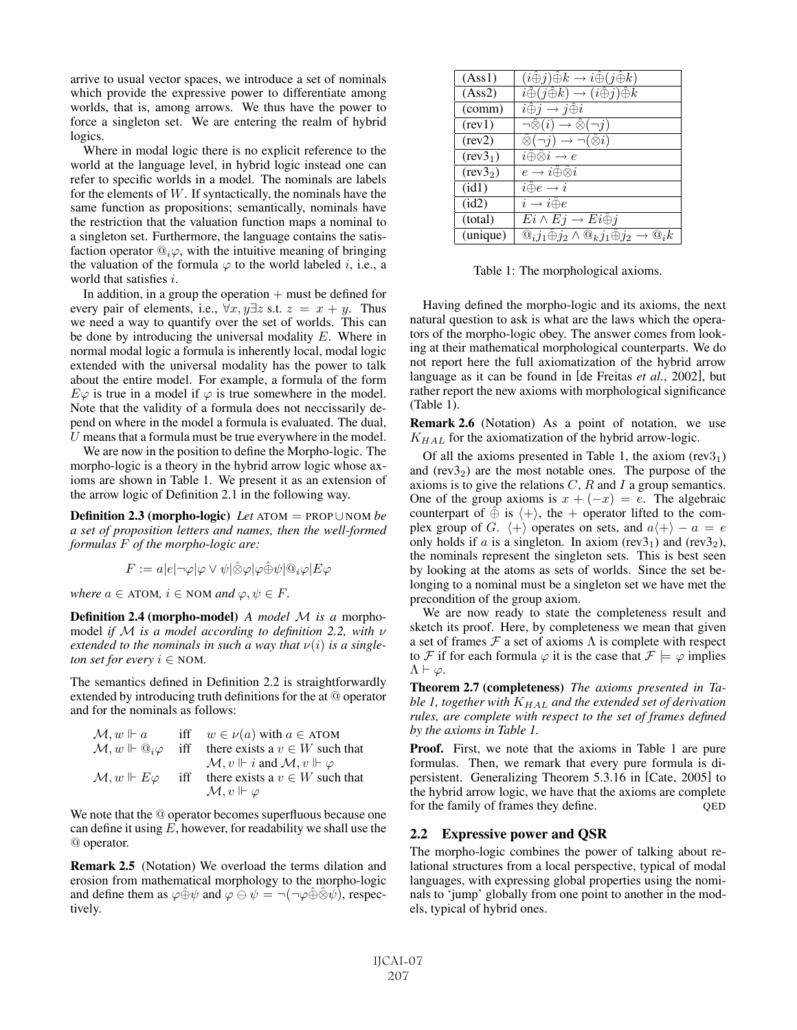arrive to usual vector spaces, we introduce a set of nominals which provide the expressive power to differentiate among worlds, that is, among arrows. We thus have the power to force a singleton set. We are entering the realm of hybrid logics.

Where in modal logic there is no explicit reference to the world at the language level, in hybrid logic instead one can refer to specific worlds in a model. The nominals are labels for the elements of  $W$ . If syntactically, the nominals have the same function as propositions; semantically, nominals have the restriction that the valuation function maps a nominal to a singleton set. Furthermore, the language contains the satisfaction operator  $@_i\varphi$ , with the intuitive meaning of bringing the valuation of the formula  $\varphi$  to the world labeled i, i.e., a world that satisfies i.

In addition, in a group the operation  $+$  must be defined for every pair of elements, i.e.,  $\forall x, y \exists z \text{ s.t. } z = x + y$ . Thus we need a way to quantify over the set of worlds. This can be done by introducing the universal modality  $E$ . Where in normal modal logic a formula is inherently local, modal logic extended with the universal modality has the power to talk about the entire model. For example, a formula of the form  $E\varphi$  is true in a model if  $\varphi$  is true somewhere in the model. Note that the validity of a formula does not neccissarily depend on where in the model a formula is evaluated. The dual,  $U$  means that a formula must be true everywhere in the model.

We are now in the position to define the Morpho-logic. The morpho-logic is a theory in the hybrid arrow logic whose axioms are shown in Table 1. We present it as an extension of the arrow logic of Definition 2.1 in the following way.

Definition 2.3 (morpho-logic) *Let* ATOM = PROP∪ NOM *be a set of proposition letters and names, then the well-formed formulas* F *of the morpho-logic are:*

$$
F:=a|e| \neg \varphi |\varphi \vee \psi| \hat{\otimes} \varphi |\varphi \hat{\oplus} \psi| @_{i}\varphi |E\varphi
$$

*where*  $a \in$  ATOM,  $i \in$  NOM *and*  $\varphi, \psi \in F$ .

Definition 2.4 (morpho-model) *A model* M *is a* morphomodel *if* M *is a model according to definition 2.2, with* ν extended to the nominals in such a way that  $\nu(i)$  is a single*ton set for every*  $i \in NOM$ .

The semantics defined in Definition 2.2 is straightforwardly extended by introducing truth definitions for the at @ operator and for the nominals as follows:

| $\mathcal{M}, w \Vdash a$                    | iff | $w \in \nu(a)$ with $a \in ATOM$                              |
|----------------------------------------------|-----|---------------------------------------------------------------|
| $\mathcal{M}, w \Vdash \mathbb{Q}_i \varphi$ |     | iff there exists a $v \in W$ such that                        |
|                                              |     | $\mathcal{M}, v \Vdash i$ and $\mathcal{M}, v \Vdash \varphi$ |
| $\mathcal{M}, w \Vdash E\varphi$             | iff | there exists a $v \in W$ such that                            |
|                                              |     | $\mathcal{M}, v \Vdash \varphi$                               |

We note that the @ operator becomes superfluous because one can define it using  $E$ , however, for readability we shall use the @ operator.

Remark 2.5 (Notation) We overload the terms dilation and erosion from mathematical morphology to the morpho-logic and define them as  $\varphi \oplus \psi$  and  $\varphi \ominus \psi = \neg(\neg \varphi \oplus \hat{\otimes} \psi)$ , respectively.

| (Ass1)               | $(i\hat{\oplus} j)\hat{\oplus} k \to i\hat{\oplus} (j\hat{\oplus} k)$                   |
|----------------------|-----------------------------------------------------------------------------------------|
| (Ass2)               | $i\hat{\oplus} (j\hat{\oplus} k) \rightarrow (i\hat{\oplus} j)\hat{\oplus} k$           |
| (comm)               | $i\hat{\oplus} j \rightarrow j\hat{\oplus} i$                                           |
| (rev1)               | $\neg\hat{\otimes}(i) \rightarrow \hat{\otimes}(\neg j)$                                |
| (rev2)               | $\hat{\otimes}(\neg j) \rightarrow \neg (\hat{\otimes} i)$                              |
| (rev3 <sub>1</sub> ) | $i \hat{\oplus} \hat{\otimes} i \rightarrow e$                                          |
| (rev3 <sub>2</sub> ) | $e \rightarrow i \hat{\oplus} \hat{\otimes} i$                                          |
| (id1)                | $i\hat\oplus e\rightarrow i$                                                            |
| (id2)                | $i \rightarrow i \hat{\oplus} e$                                                        |
| (total)              | $Ei \wedge Ej \rightarrow Ei \widehat{\oplus} j$                                        |
| (unique)             | $@_i j_1 \hat{\oplus} j_2 \wedge @_k j_1 \hat{\oplus} j_2 \rightarrow$<br>$\omega_{i}k$ |

Table 1: The morphological axioms.

Having defined the morpho-logic and its axioms, the next natural question to ask is what are the laws which the operators of the morpho-logic obey. The answer comes from looking at their mathematical morphological counterparts. We do not report here the full axiomatization of the hybrid arrow language as it can be found in [de Freitas *et al.*, 2002], but rather report the new axioms with morphological significance (Table 1).

Remark 2.6 (Notation) As a point of notation, we use  $K_{HAL}$  for the axiomatization of the hybrid arrow-logic.

Of all the axioms presented in Table 1, the axiom  $(rev3<sub>1</sub>)$ and  $(rev3<sub>2</sub>)$  are the most notable ones. The purpose of the axioms is to give the relations  $C$ ,  $R$  and  $I$  a group semantics. One of the group axioms is  $x + (-x) = e$ . The algebraic counterpart of  $\hat{\oplus}$  is  $\langle + \rangle$ , the + operator lifted to the complex group of G.  $\langle + \rangle$  operates on sets, and  $a\langle + \rangle - a = e$ only holds if a is a singleton. In axiom (rev3<sub>1</sub>) and (rev3<sub>2</sub>), the nominals represent the singleton sets. This is best seen by looking at the atoms as sets of worlds. Since the set belonging to a nominal must be a singleton set we have met the precondition of the group axiom.

We are now ready to state the completeness result and sketch its proof. Here, by completeness we mean that given a set of frames  $\mathcal F$  a set of axioms  $\Lambda$  is complete with respect to F if for each formula  $\varphi$  it is the case that  $\mathcal{F} \models \varphi$  implies  $\Lambda \vdash \varphi$ .

Theorem 2.7 (completeness) *The axioms presented in Table 1, together with* KHAL *and the extended set of derivation rules, are complete with respect to the set of frames defined by the axioms in Table 1.*

Proof. First, we note that the axioms in Table 1 are pure formulas. Then, we remark that every pure formula is dipersistent. Generalizing Theorem 5.3.16 in [Cate, 2005] to the hybrid arrow logic, we have that the axioms are complete for the family of frames they define. QED

## 2.2 Expressive power and QSR

The morpho-logic combines the power of talking about relational structures from a local perspective, typical of modal languages, with expressing global properties using the nominals to 'jump' globally from one point to another in the models, typical of hybrid ones.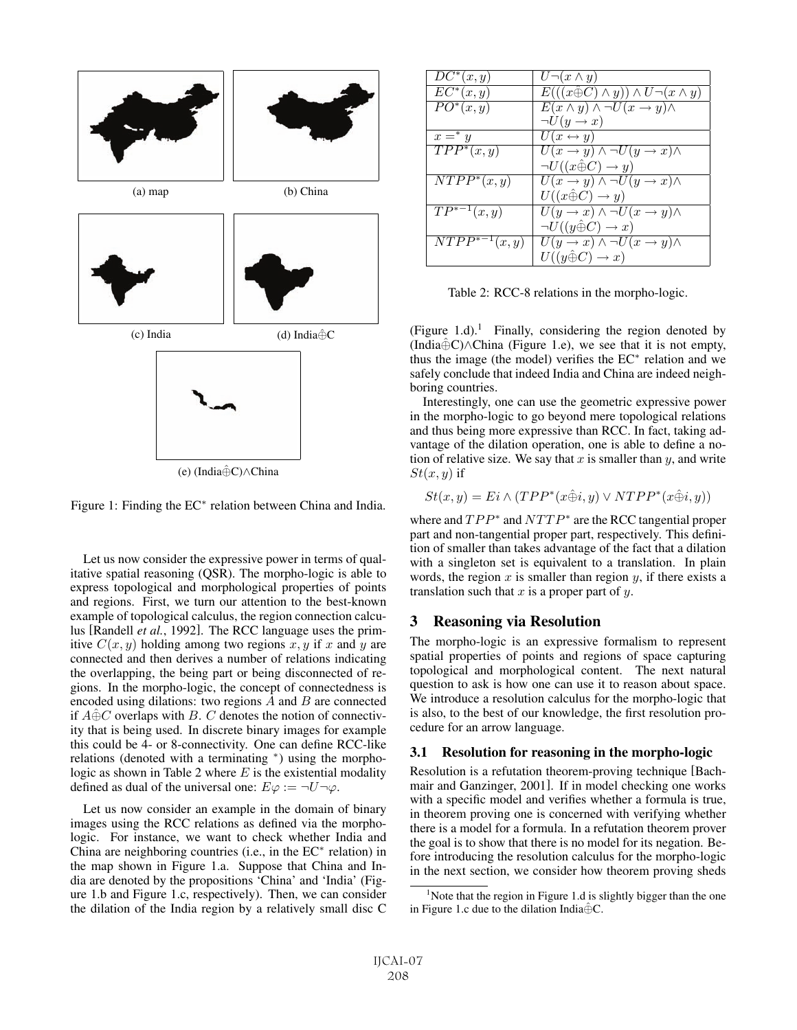

Figure 1: Finding the EC<sup>∗</sup> relation between China and India.

Let us now consider the expressive power in terms of qualitative spatial reasoning (QSR). The morpho-logic is able to express topological and morphological properties of points and regions. First, we turn our attention to the best-known example of topological calculus, the region connection calculus [Randell *et al.*, 1992]. The RCC language uses the primitive  $C(x, y)$  holding among two regions x, y if x and y are connected and then derives a number of relations indicating the overlapping, the being part or being disconnected of regions. In the morpho-logic, the concept of connectedness is encoded using dilations: two regions  $A$  and  $B$  are connected if  $A \hat{\oplus} C$  overlaps with B. C denotes the notion of connectivity that is being used. In discrete binary images for example this could be 4- or 8-connectivity. One can define RCC-like relations (denoted with a terminating <sup>∗</sup>) using the morphologic as shown in Table 2 where  $E$  is the existential modality defined as dual of the universal one:  $E\varphi := \neg U \neg \varphi$ .

Let us now consider an example in the domain of binary images using the RCC relations as defined via the morphologic. For instance, we want to check whether India and China are neighboring countries (i.e., in the EC<sup>∗</sup> relation) in the map shown in Figure 1.a. Suppose that China and India are denoted by the propositions 'China' and 'India' (Figure 1.b and Figure 1.c, respectively). Then, we can consider the dilation of the India region by a relatively small disc C

| $DC^*(x, y)$      | $U\neg(x\wedge y)$                                      |
|-------------------|---------------------------------------------------------|
| $EC^*(x,y)$       | $E(((x \oplus C) \wedge y)) \wedge U \neg (x \wedge y)$ |
| $PO^{*}(x,y)$     | $E(x \wedge y) \wedge \neg U(x \rightarrow y) \wedge$   |
|                   | $\neg U(y \rightarrow x)$                               |
| $x =^* y$         | $U(x \leftrightarrow y)$                                |
| $TPP^*(x,y)$      | $U(x \to y) \land \neg U(y \to x) \land$                |
|                   | $\neg U((x \oplus C) \rightarrow y)$                    |
| $NTPP^*(x, y)$    | $U(x \to y) \land \neg U(y \to x) \land$                |
|                   | $U((x \hat{\oplus} C) \rightarrow y)$                   |
| $TP^{*-1}(x, y)$  | $U(y \to x) \land \neg U(x \to y) \land$                |
|                   | $\neg U((y \oplus C) \rightarrow x)$                    |
| $NTPP^{*-1}(x,y)$ | $U(y \to x) \land \neg U(x \to y) \land$                |
|                   | $U((y \hat{\oplus} C) \rightarrow x)$                   |

Table 2: RCC-8 relations in the morpho-logic.

(Figure 1.d).<sup>1</sup> Finally, considering the region denoted by (India⊕ $C$ )∧China (Figure 1.e), we see that it is not empty, thus the image (the model) verifies the EC<sup>∗</sup> relation and we safely conclude that indeed India and China are indeed neighboring countries.

Interestingly, one can use the geometric expressive power in the morpho-logic to go beyond mere topological relations and thus being more expressive than RCC. In fact, taking advantage of the dilation operation, one is able to define a notion of relative size. We say that x is smaller than y, and write  $St(x, y)$  if

$$
St(x, y) = Ei \wedge (TPP^*(x\hat{\oplus}i, y) \vee NTPP^*(x\hat{\oplus}i, y))
$$

where and  $TPP^*$  and  $NTTP^*$  are the RCC tangential proper part and non-tangential proper part, respectively. This definition of smaller than takes advantage of the fact that a dilation with a singleton set is equivalent to a translation. In plain words, the region  $x$  is smaller than region  $y$ , if there exists a translation such that  $x$  is a proper part of  $y$ .

## 3 Reasoning via Resolution

The morpho-logic is an expressive formalism to represent spatial properties of points and regions of space capturing topological and morphological content. The next natural question to ask is how one can use it to reason about space. We introduce a resolution calculus for the morpho-logic that is also, to the best of our knowledge, the first resolution procedure for an arrow language.

## 3.1 Resolution for reasoning in the morpho-logic

Resolution is a refutation theorem-proving technique [Bachmair and Ganzinger, 2001]. If in model checking one works with a specific model and verifies whether a formula is true, in theorem proving one is concerned with verifying whether there is a model for a formula. In a refutation theorem prover the goal is to show that there is no model for its negation. Before introducing the resolution calculus for the morpho-logic in the next section, we consider how theorem proving sheds

<sup>&</sup>lt;sup>1</sup>Note that the region in Figure 1.d is slightly bigger than the one in Figure 1.c due to the dilation India $\hat{\oplus}$ C.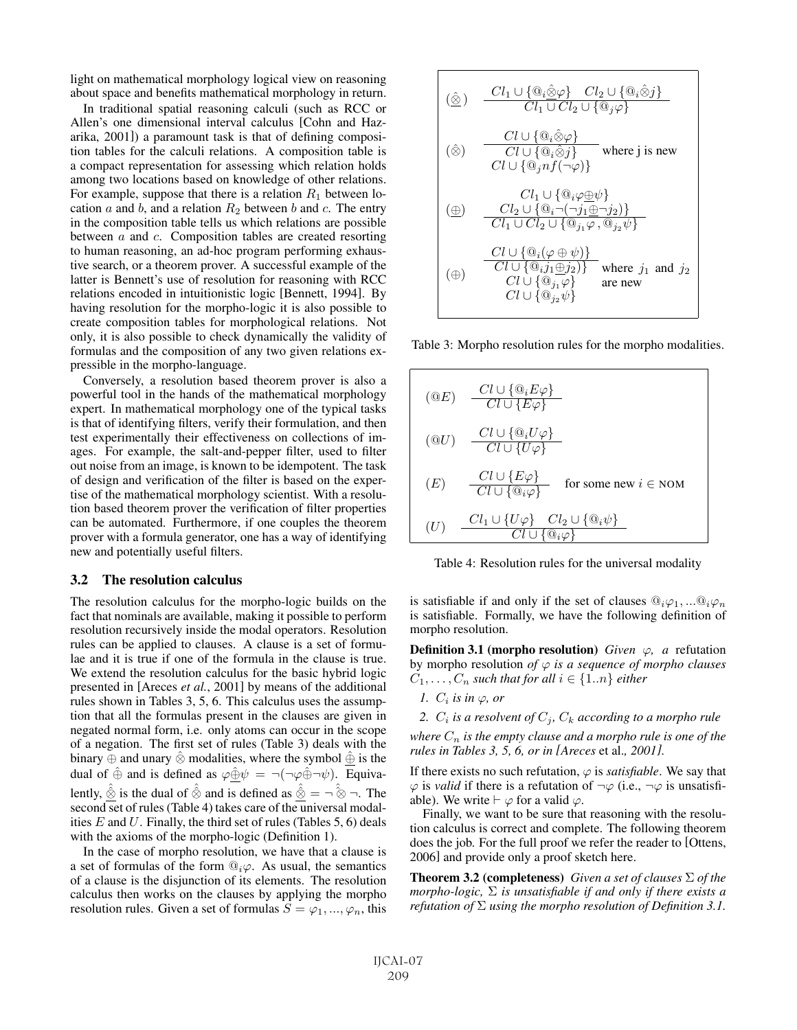light on mathematical morphology logical view on reasoning about space and benefits mathematical morphology in return.

In traditional spatial reasoning calculi (such as RCC or Allen's one dimensional interval calculus [Cohn and Hazarika, 2001]) a paramount task is that of defining composition tables for the calculi relations. A composition table is a compact representation for assessing which relation holds among two locations based on knowledge of other relations. For example, suppose that there is a relation  $R_1$  between location  $a$  and  $b$ , and a relation  $R_2$  between  $b$  and  $c$ . The entry in the composition table tells us which relations are possible between  $\alpha$  and  $\alpha$ . Composition tables are created resorting to human reasoning, an ad-hoc program performing exhaustive search, or a theorem prover. A successful example of the latter is Bennett's use of resolution for reasoning with RCC relations encoded in intuitionistic logic [Bennett, 1994]. By having resolution for the morpho-logic it is also possible to create composition tables for morphological relations. Not only, it is also possible to check dynamically the validity of formulas and the composition of any two given relations expressible in the morpho-language.

Conversely, a resolution based theorem prover is also a powerful tool in the hands of the mathematical morphology expert. In mathematical morphology one of the typical tasks is that of identifying filters, verify their formulation, and then test experimentally their effectiveness on collections of images. For example, the salt-and-pepper filter, used to filter out noise from an image, is known to be idempotent. The task of design and verification of the filter is based on the expertise of the mathematical morphology scientist. With a resolution based theorem prover the verification of filter properties can be automated. Furthermore, if one couples the theorem prover with a formula generator, one has a way of identifying new and potentially useful filters.

#### 3.2 The resolution calculus

The resolution calculus for the morpho-logic builds on the fact that nominals are available, making it possible to perform resolution recursively inside the modal operators. Resolution rules can be applied to clauses. A clause is a set of formulae and it is true if one of the formula in the clause is true. We extend the resolution calculus for the basic hybrid logic presented in [Areces *et al.*, 2001] by means of the additional rules shown in Tables 3, 5, 6. This calculus uses the assumption that all the formulas present in the clauses are given in negated normal form, i.e. only atoms can occur in the scope of a negation. The first set of rules (Table 3) deals with the binary  $\oplus$  and unary  $\hat{\otimes}$  modalities, where the symbol  $\hat{\oplus}$  is the dual of  $\hat{\oplus}$  and is defined as  $\varphi \hat{\oplus} \psi = \neg(\neg \varphi \hat{\oplus} \neg \psi)$ . Equivalently,  $\hat{\hat{\otimes}}$  is the dual of  $\hat{\hat{\otimes}}$  and is defined as  $\hat{\hat{\otimes}} = \neg \hat{\hat{\otimes}} \neg$ . The second set of rules (Table 4) takes care of the universal modalities  $E$  and  $U$ . Finally, the third set of rules (Tables 5, 6) deals with the axioms of the morpho-logic (Definition 1).

In the case of morpho resolution, we have that a clause is a set of formulas of the form  $@i\varphi$ . As usual, the semantics of a clause is the disjunction of its elements. The resolution calculus then works on the clauses by applying the morpho resolution rules. Given a set of formulas  $S = \varphi_1, ..., \varphi_n$ , this

$$
\begin{array}{|c|l|} \hline \textcircled{(a)} & \frac{Cl_1 \cup \{\textcircled{a}_i\hat{\otimes}\varphi\} & Cl_2 \cup \{\textcircled{a}_i\hat{\otimes}j\}}{Cl_1 \cup Cl_2 \cup \{\textcircled{a}_j\varphi\}} \\ \hline & \textcircled{(a)} & \frac{Cl \cup \{\textcircled{a}_i\hat{\otimes}\varphi\}}{Cl \cup \{\textcircled{a}_i\hat{\otimes}j\}} & \text{where $j$ is new} \\ & \textcircled{(b)} & \frac{Cl_1 \cup \{\textcircled{a}_i\hat{\otimes}j\}}{Cl_1 \cup \{\textcircled{a}_jnf(\neg\varphi)\}} \\ \hline & \textcircled{(b)} & \frac{Cl_2 \cup \{\textcircled{a}_i \neg (\neg j_1 \oplus \neg j_2)\}}{Cl_1 \cup Cl_2 \cup \{\textcircled{a}_j \varphi, \textcircled{a}_{j_2} \psi\}} \\ \hline & \textcircled{(b)} & \frac{Cl \cup \{\textcircled{a}_i(\varphi \oplus \psi)\}}{Cl \cup \{\textcircled{a}_{j_1} \varphi\}} & \text{where $j_1$ and $j_2$} \\ \hline & \textcircled{(c)} & \textcircled{(d_{j_2} \psi\}} & \text{are new} \end{array}
$$

Table 3: Morpho resolution rules for the morpho modalities.

$$
\begin{array}{ll}\n\textcircled{(a)} & \frac{Cl \cup \{\textcircled{a}_i E \varphi\}}{Cl \cup \{E \varphi\}} \\
\textcircled{(a)} & \frac{Cl \cup \{\textcircled{a}_i U \varphi\}}{Cl \cup \{U \varphi\}} \\
\textcircled{(E)} & \frac{Cl \cup \{E \varphi\}}{Cl \cup \{\textcircled{a}_i \varphi\}} \quad \text{for some new } i \in \text{NOM} \\
\textcircled{(U)} & \frac{Cl_1 \cup \{U \varphi\} \quad Cl_2 \cup \{\textcircled{a}_i \psi\}}{Cl \cup \{\textcircled{a}_i \varphi\}}\n\end{array}
$$

Table 4: Resolution rules for the universal modality

is satisfiable if and only if the set of clauses  $\mathcal{Q}_i\varphi_1, \dots \mathcal{Q}_i\varphi_n$ is satisfiable. Formally, we have the following definition of morpho resolution.

**Definition 3.1 (morpho resolution)** *Given*  $\varphi$ , *a* refutation by morpho resolution *of*  $\varphi$  *is a sequence of morpho clauses*  $C_1, \ldots, C_n$  *such that for all*  $i \in \{1..n\}$  *either* 

*1.*  $C_i$  *is in*  $\varphi$ *, or* 

*2.*  $C_i$  *is a resolvent of*  $C_j$ *,*  $C_k$  *according to a morpho rule* 

*where*  $C_n$  *is the empty clause and a morpho rule is one of the rules in Tables 3, 5, 6, or in [Areces* et al.*, 2001].*

If there exists no such refutation,  $\varphi$  is *satisfiable*. We say that  $\varphi$  is *valid* if there is a refutation of  $\neg \varphi$  (i.e.,  $\neg \varphi$  is unsatisfiable). We write  $\vdash \varphi$  for a valid  $\varphi$ .

Finally, we want to be sure that reasoning with the resolution calculus is correct and complete. The following theorem does the job. For the full proof we refer the reader to [Ottens, 2006] and provide only a proof sketch here.

Theorem 3.2 (completeness) *Given a set of clauses* Σ *of the morpho-logic,* Σ *is unsatisfiable if and only if there exists a refutation of* Σ *using the morpho resolution of Definition 3.1.*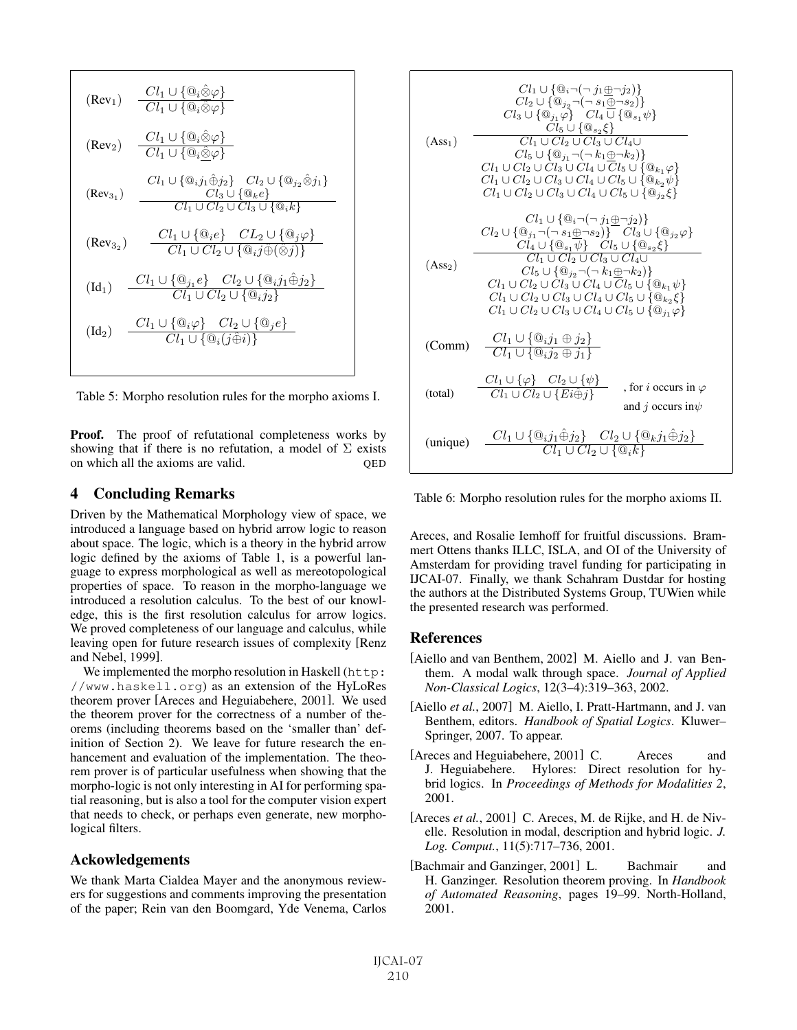$$
(Rev1) \frac{Cl_{1} \cup \{ \mathbb{Q}_{i} \hat{\otimes} \varphi \}}{Cl_{1} \cup \{ \mathbb{Q}_{i} \hat{\otimes} \varphi \}}
$$
\n
$$
(Rev2) \frac{Cl_{1} \cup \{ \mathbb{Q}_{i} \hat{\otimes} \varphi \}}{Cl_{1} \cup \{ \mathbb{Q}_{i} \hat{\otimes} \varphi \}}
$$
\n
$$
(Rev31) \frac{Cl_{1} \cup \{ \mathbb{Q}_{i} \hat{\otimes} \varphi \}}{Cl_{2} \cup \{ \mathbb{Q}_{i} \hat{\otimes} \varphi \}}
$$
\n
$$
(Rev31) \frac{Cl_{1} \cup \{ \mathbb{Q}_{i} \hat{\otimes} \varphi \}}{Cl_{2} \cup Cl_{3} \cup \{ \mathbb{Q}_{k} \epsilon \}}
$$
\n
$$
(Rev32) \frac{Cl_{1} \cup \{ \mathbb{Q}_{i} \epsilon \} \quad CL_{2} \cup \{ \mathbb{Q}_{i} \varphi \}}{Cl_{1} \cup Cl_{2} \cup \{ \mathbb{Q}_{i} \hat{\otimes} \varphi \}}}
$$
\n
$$
(Id1) \frac{Cl_{1} \cup \{ \mathbb{Q}_{i} \epsilon \} \quad Cl_{2} \cup \{ \mathbb{Q}_{i} \hat{\otimes} \varphi \}}{Cl_{1} \cup Cl_{2} \cup \{ \mathbb{Q}_{i} \hat{\otimes} \varphi \}}}
$$
\n
$$
(Id2) \frac{Cl_{1} \cup \{ \mathbb{Q}_{i} \epsilon \} \quad Cl_{2} \cup \{ \mathbb{Q}_{i} \varphi \}}{Cl_{1} \cup Cl_{2} \cup \{ \mathbb{Q}_{i} \varphi \}}}
$$

Table 5: Morpho resolution rules for the morpho axioms I.

Proof. The proof of refutational completeness works by showing that if there is no refutation, a model of  $\Sigma$  exists on which all the axioms are valid.  $QED$ 

## 4 Concluding Remarks

Driven by the Mathematical Morphology view of space, we introduced a language based on hybrid arrow logic to reason about space. The logic, which is a theory in the hybrid arrow logic defined by the axioms of Table 1, is a powerful language to express morphological as well as mereotopological properties of space. To reason in the morpho-language we introduced a resolution calculus. To the best of our knowledge, this is the first resolution calculus for arrow logics. We proved completeness of our language and calculus, while leaving open for future research issues of complexity [Renz and Nebel, 1999].

We implemented the morpho resolution in Haskell (http: //www.haskell.org) as an extension of the HyLoRes theorem prover [Areces and Heguiabehere, 2001]. We used the theorem prover for the correctness of a number of theorems (including theorems based on the 'smaller than' definition of Section 2). We leave for future research the enhancement and evaluation of the implementation. The theorem prover is of particular usefulness when showing that the morpho-logic is not only interesting in AI for performing spatial reasoning, but is also a tool for the computer vision expert that needs to check, or perhaps even generate, new morphological filters.

## Ackowledgements

We thank Marta Cialdea Mayer and the anonymous reviewers for suggestions and comments improving the presentation of the paper; Rein van den Boomgard, Yde Venema, Carlos

$$
Cl_{1} \cup \{\mathbb{Q}_{i} \neg (\neg j_{1} \oplus \neg j_{2})\}
$$
\n
$$
Cl_{2} \cup \{\mathbb{Q}_{j} \neg (\neg j_{1} \oplus \neg j_{2})\}
$$
\n
$$
Cl_{3} \cup \{\mathbb{Q}_{j_{1}} \varphi\} \quad Cl_{4} \cup \{\mathbb{Q}_{s_{1}} \psi\}
$$
\n(Ass<sub>1</sub>)\n
$$
Cl_{5} \cup \{\mathbb{Q}_{s_{2}} \xi\}
$$
\n
$$
Cl_{1} \cup Cl_{2} \cup Cl_{3} \cup Cl_{4} \cup
$$
\n
$$
Cl_{5} \cup \{\mathbb{Q}_{j_{1}} \neg (\neg k_{1} \oplus \neg k_{2})\}
$$
\n
$$
Cl_{1} \cup Cl_{2} \cup Cl_{3} \cup Cl_{4} \cup Cl_{5} \cup \{\mathbb{Q}_{k_{1}} \varphi\}
$$
\n
$$
Cl_{1} \cup Cl_{2} \cup Cl_{3} \cup Cl_{4} \cup Cl_{5} \cup \{\mathbb{Q}_{k_{2}} \psi\}
$$
\n
$$
Cl_{1} \cup Cl_{2} \cup Cl_{3} \cup Cl_{4} \cup Cl_{5} \cup \{\mathbb{Q}_{j_{2}} \xi\}
$$
\n
$$
Cl_{1} \cup \{\mathbb{Q}_{j_{1}} \neg (\neg j_{1} \oplus \neg j_{2})\}
$$
\n
$$
Cl_{2} \cup \{\mathbb{Q}_{j_{1}} \neg (\neg s_{1} \oplus \neg s_{2})\} \quad Cl_{3} \cup \{\mathbb{Q}_{j_{2}} \varphi\}
$$
\n
$$
Cl_{4} \cup \{\mathbb{Q}_{s_{1}} \psi\} \quad Cl_{5} \cup \{\mathbb{Q}_{s_{2}} \xi\}
$$
\n(Ass<sub>2</sub>)\n
$$
Cl_{1} \cup Cl_{2} \cup Cl_{3} \cup Cl_{4} \cup Cl_{5} \cup \{\mathbb{Q}_{k_{2}} \xi\}
$$
\n
$$
Cl_{1} \cup Cl_{2} \cup Cl_{3} \cup Cl_{4} \cup Cl_{5} \cup \{\mathbb{Q}_{k_{1}} \psi\}
$$
\n
$$
Cl_{1} \cup Cl_{2} \cup Cl_{3} \cup Cl_{4} \cup Cl_{5} \cup \{\mathbb{Q}_{k_{2}} \xi\}
$$
\n

Table 6: Morpho resolution rules for the morpho axioms II.

Areces, and Rosalie Iemhoff for fruitful discussions. Brammert Ottens thanks ILLC, ISLA, and OI of the University of Amsterdam for providing travel funding for participating in IJCAI-07. Finally, we thank Schahram Dustdar for hosting the authors at the Distributed Systems Group, TUWien while the presented research was performed.

#### References

- [Aiello and van Benthem, 2002] M. Aiello and J. van Benthem. A modal walk through space. *Journal of Applied Non-Classical Logics*, 12(3–4):319–363, 2002.
- [Aiello *et al.*, 2007] M. Aiello, I. Pratt-Hartmann, and J. van Benthem, editors. *Handbook of Spatial Logics*. Kluwer– Springer, 2007. To appear.
- [Areces and Heguiabehere, 2001] C. Areces and J. Heguiabehere. Hylores: Direct resolution for hybrid logics. In *Proceedings of Methods for Modalities 2*, 2001.
- [Areces *et al.*, 2001] C. Areces, M. de Rijke, and H. de Nivelle. Resolution in modal, description and hybrid logic. *J. Log. Comput.*, 11(5):717–736, 2001.
- [Bachmair and Ganzinger, 2001] L. Bachmair and H. Ganzinger. Resolution theorem proving. In *Handbook of Automated Reasoning*, pages 19–99. North-Holland, 2001.